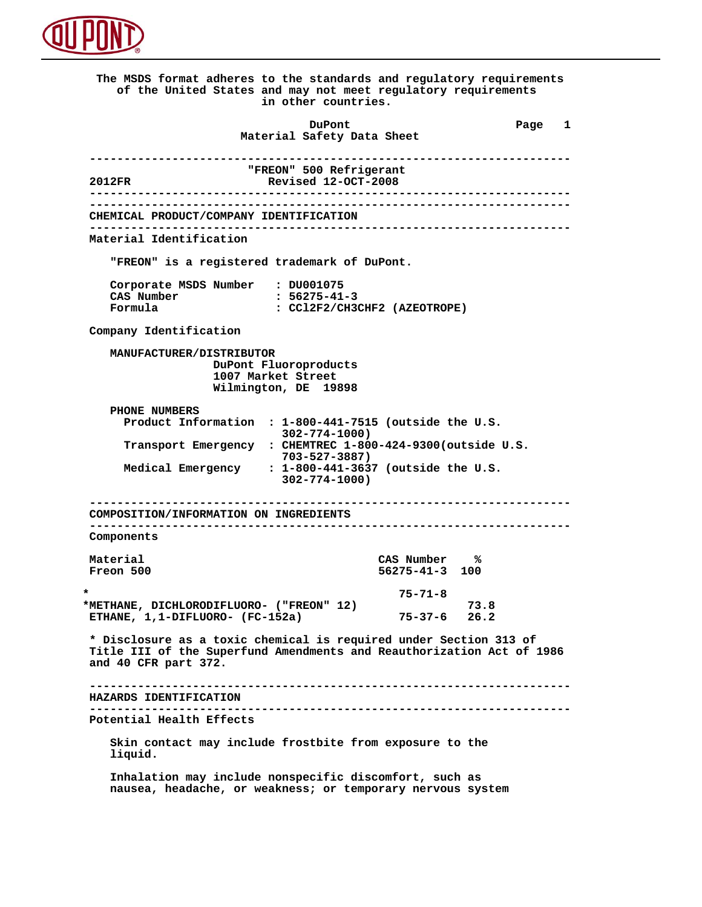

 **The MSDS format adheres to the standards and regulatory requirements of the United States and may not meet regulatory requirements in other countries. DuPont Different Page 1 Material Safety Data Sheet ---------------------------------------------------------------------- TREON" 500 Refrigerant**<br> **Revised 12-OCT-2008 2012FR Revised 12-OCT-2008 ---------------------------------------------------------------------- ---------------------------------------------------------------------- CHEMICAL PRODUCT/COMPANY IDENTIFICATION ---------------------------------------------------------------------- Material Identification "FREON" is a registered trademark of DuPont. Corporate MSDS Number : DU001075 CAS Number : 56275-41-3 Formula : CCl2F2/CH3CHF2 (AZEOTROPE) Company Identification MANUFACTURER/DISTRIBUTOR DuPont Fluoroproducts 1007 Market Street Wilmington, DE 19898 PHONE NUMBERS Product Information : 1-800-441-7515 (outside the U.S. 302-774-1000) Transport Emergency : CHEMTREC 1-800-424-9300(outside U.S. 703-527-3887) Medical Emergency : 1-800-441-3637 (outside the U.S. 302-774-1000) ---------------------------------------------------------------------- COMPOSITION/INFORMATION ON INGREDIENTS ---------------------------------------------------------------------- Components Material** CAS Number %<br> **Freon** 500 56275-41-3 100  **Freon 500 56275-41-3 100 \* 75-71-8 \*METHANE, DICHLORODIFLUORO- ("FREON" 12) 73.8 ETHANE, 1,1-DIFLUORO- (FC-152a) 75-37-6 26.2 \* Disclosure as a toxic chemical is required under Section 313 of Title III of the Superfund Amendments and Reauthorization Act of 1986 and 40 CFR part 372. ---------------------------------------------------------------------- HAZARDS IDENTIFICATION ---------------------------------------------------------------------- Potential Health Effects Skin contact may include frostbite from exposure to the liquid. Inhalation may include nonspecific discomfort, such as nausea, headache, or weakness; or temporary nervous system**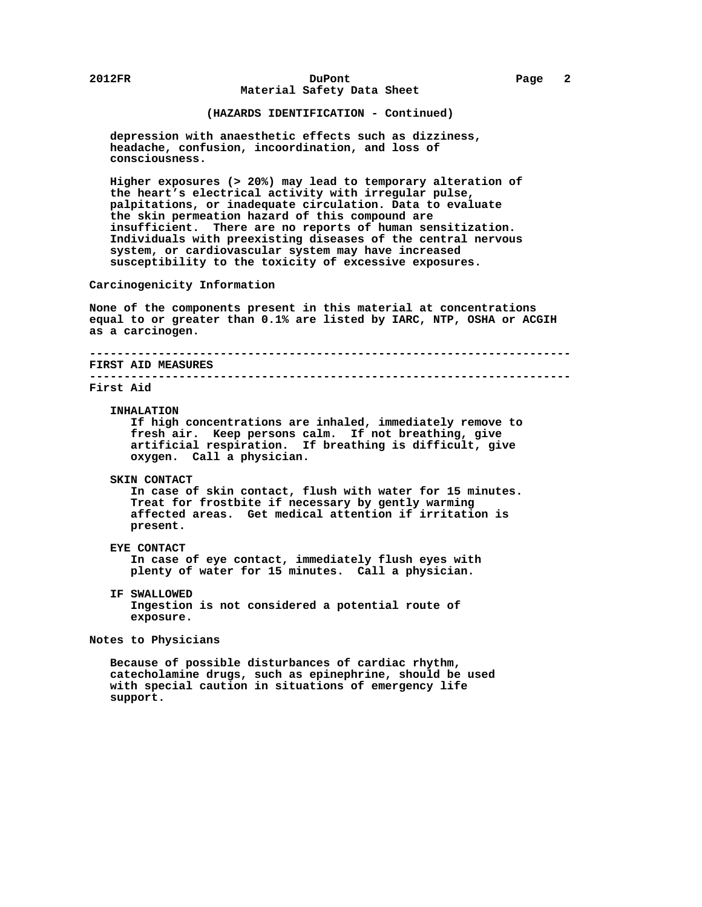## **2012FR DuPont Page 2 Material Safety Data Sheet**

# **(HAZARDS IDENTIFICATION - Continued)**

 **depression with anaesthetic effects such as dizziness, headache, confusion, incoordination, and loss of consciousness.**

 **Higher exposures (> 20%) may lead to temporary alteration of the heart's electrical activity with irregular pulse, palpitations, or inadequate circulation. Data to evaluate the skin permeation hazard of this compound are insufficient. There are no reports of human sensitization. Individuals with preexisting diseases of the central nervous system, or cardiovascular system may have increased susceptibility to the toxicity of excessive exposures.**

 **Carcinogenicity Information**

 **None of the components present in this material at concentrations equal to or greater than 0.1% are listed by IARC, NTP, OSHA or ACGIH as a carcinogen.**

 **---------------------------------------------------------------------- FIRST AID MEASURES ----------------------------------------------------------------------**

# **First Aid**

#### **INHALATION**

 **If high concentrations are inhaled, immediately remove to fresh air. Keep persons calm. If not breathing, give artificial respiration. If breathing is difficult, give oxygen. Call a physician.**

### **SKIN CONTACT**

 **In case of skin contact, flush with water for 15 minutes. Treat for frostbite if necessary by gently warming affected areas. Get medical attention if irritation is present.**

# **EYE CONTACT**

 **In case of eye contact, immediately flush eyes with plenty of water for 15 minutes. Call a physician.**

 **IF SWALLOWED Ingestion is not considered a potential route of exposure.**

## **Notes to Physicians**

 **Because of possible disturbances of cardiac rhythm, catecholamine drugs, such as epinephrine, should be used with special caution in situations of emergency life support.**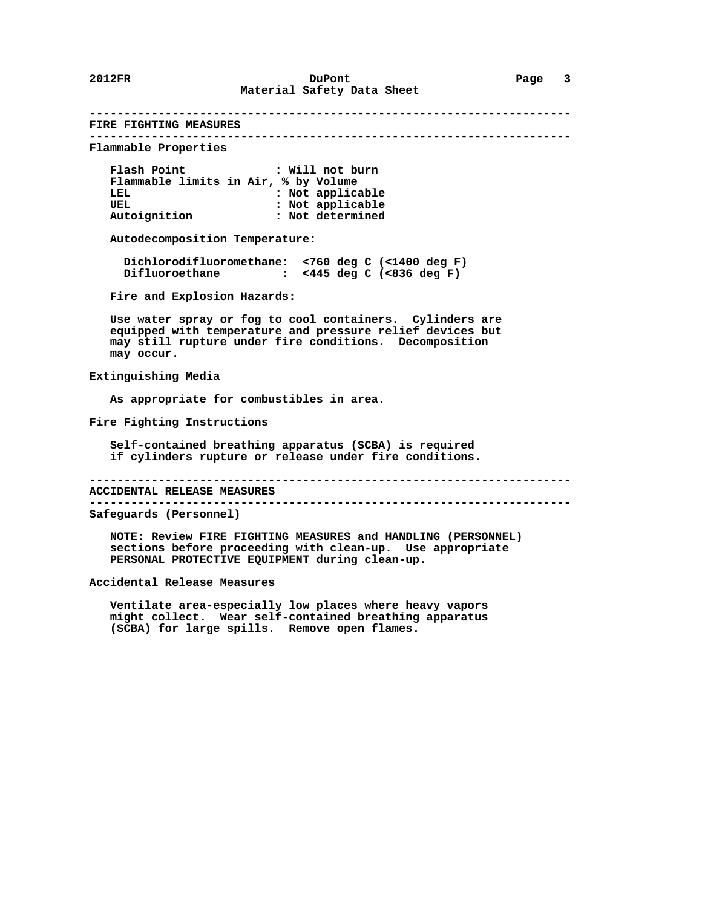**---------------------------------------------------------------------- FIRE FIGHTING MEASURES ---------------------------------------------------------------------- Flammable Properties Flash Point : Will not burn Flammable limits in Air, % by Volume :** Not applicable UEL **:** Not applicable  **Autoignition : Not determined Autodecomposition Temperature: Dichlorodifluoromethane: <760 deg C (<1400 deg F) Difluoroethane : <445 deg C (<836 deg F) Fire and Explosion Hazards: Use water spray or fog to cool containers. Cylinders are equipped with temperature and pressure relief devices but may still rupture under fire conditions. Decomposition may occur. Extinguishing Media As appropriate for combustibles in area. Fire Fighting Instructions**

 **Self-contained breathing apparatus (SCBA) is required if cylinders rupture or release under fire conditions.**

 **----------------------------------------------------------------------**

 **ACCIDENTAL RELEASE MEASURES ----------------------------------------------------------------------**

 **Safeguards (Personnel)**

 **NOTE: Review FIRE FIGHTING MEASURES and HANDLING (PERSONNEL) sections before proceeding with clean-up. Use appropriate PERSONAL PROTECTIVE EQUIPMENT during clean-up.**

 **Accidental Release Measures**

 **Ventilate area-especially low places where heavy vapors might collect. Wear self-contained breathing apparatus (SCBA) for large spills. Remove open flames.**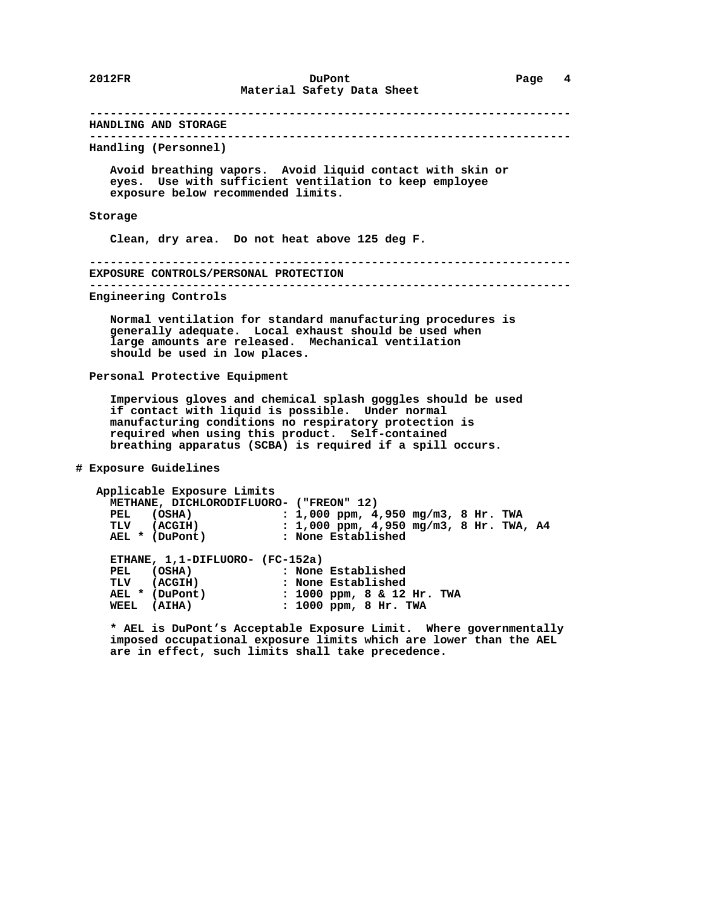**---------------------------------------------------------------------- HANDLING AND STORAGE ---------------------------------------------------------------------- Handling (Personnel) Avoid breathing vapors. Avoid liquid contact with skin or eyes. Use with sufficient ventilation to keep employee exposure below recommended limits. Storage Clean, dry area. Do not heat above 125 deg F. ---------------------------------------------------------------------- EXPOSURE CONTROLS/PERSONAL PROTECTION ---------------------------------------------------------------------- Engineering Controls Normal ventilation for standard manufacturing procedures is generally adequate. Local exhaust should be used when large amounts are released. Mechanical ventilation should be used in low places. Personal Protective Equipment Impervious gloves and chemical splash goggles should be used if contact with liquid is possible. Under normal manufacturing conditions no respiratory protection is required when using this product. Self-contained breathing apparatus (SCBA) is required if a spill occurs. # Exposure Guidelines Applicable Exposure Limits METHANE, DICHLORODIFLUORO- ("FREON" 12) PEL (OSHA) : 1,000 ppm, 4,950 mg/m3, 8 Hr. TWA TLV (ACGIH) : 1,000 ppm, 4,950 mg/m3, 8 Hr. TWA, A4 AEL \* (DuPont) : None Established ETHANE, 1,1-DIFLUORO- (FC-152a) PEL (OSHA) : None Established TLV (ACGIH) : None Established AEL \* (DuPont) : 1000 ppm, 8 & 12 Hr. TWA WEEL (AIHA) : 1000 ppm, 8 Hr. TWA \* AEL is DuPont's Acceptable Exposure Limit. Where governmentally imposed occupational exposure limits which are lower than the AEL**

 **are in effect, such limits shall take precedence.**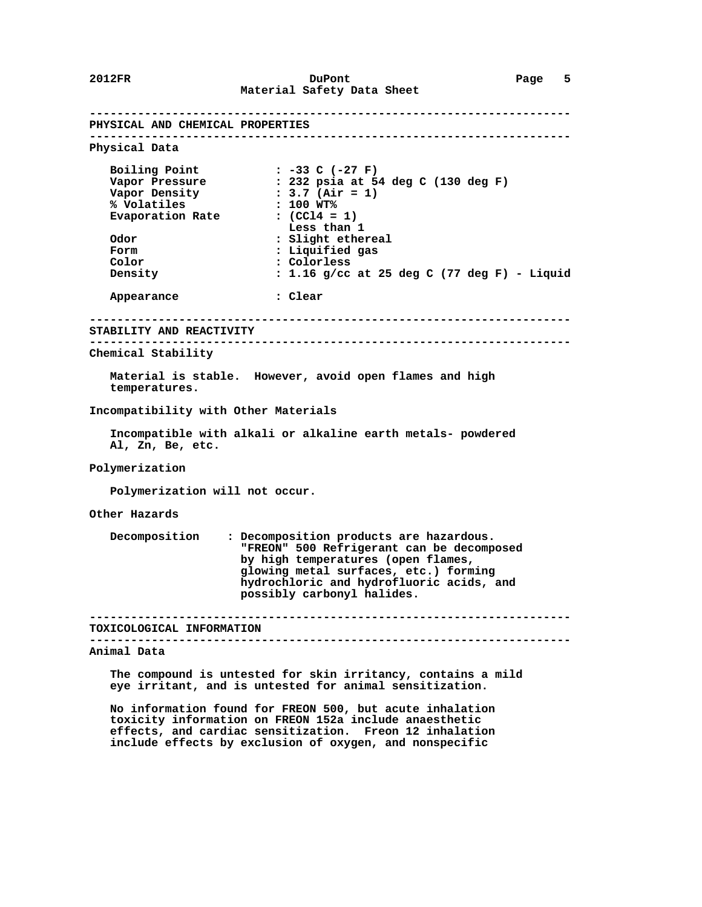**---------------------------------------------------------------------- PHYSICAL AND CHEMICAL PROPERTIES ---------------------------------------------------------------------- Physical Data Boiling Point : -33 C (-27 F) Vapor Pressure : 232 psia at 54 deg C (130 deg F) Vapor Density : 3.7 (Air = 1) % Volatiles : 100 WT% Evaporation Rate : (CCl4 = 1)** Evaporation Rate  $\begin{array}{ccc} 1 & 0 & 0 \\ 0 & 1 & 0 \\ 0 & 0 & 1 \end{array}$  : (CC14 = 1)<br>Odor  $\begin{array}{ccc} 1 & 0 & 0 \\ 0 & 0 & 1 \end{array}$  **Odor : Slight ethereal Form : Liquified gas<br>
Color : Colorless Color : Colorless Density : 1.16 g/cc at 25 deg C (77 deg F) - Liquid Appearance : Clear ---------------------------------------------------------------------- STABILITY AND REACTIVITY ---------------------------------------------------------------------- Chemical Stability Material is stable. However, avoid open flames and high temperatures. Incompatibility with Other Materials Incompatible with alkali or alkaline earth metals- powdered Al, Zn, Be, etc. Polymerization Polymerization will not occur. Other Hazards Decomposition : Decomposition products are hazardous. "FREON" 500 Refrigerant can be decomposed by high temperatures (open flames, glowing metal surfaces, etc.) forming hydrochloric and hydrofluoric acids, and possibly carbonyl halides. ---------------------------------------------------------------------- TOXICOLOGICAL INFORMATION ---------------------------------------------------------------------- Animal Data The compound is untested for skin irritancy, contains a mild eye irritant, and is untested for animal sensitization.**

 **No information found for FREON 500, but acute inhalation toxicity information on FREON 152a include anaesthetic effects, and cardiac sensitization. Freon 12 inhalation include effects by exclusion of oxygen, and nonspecific**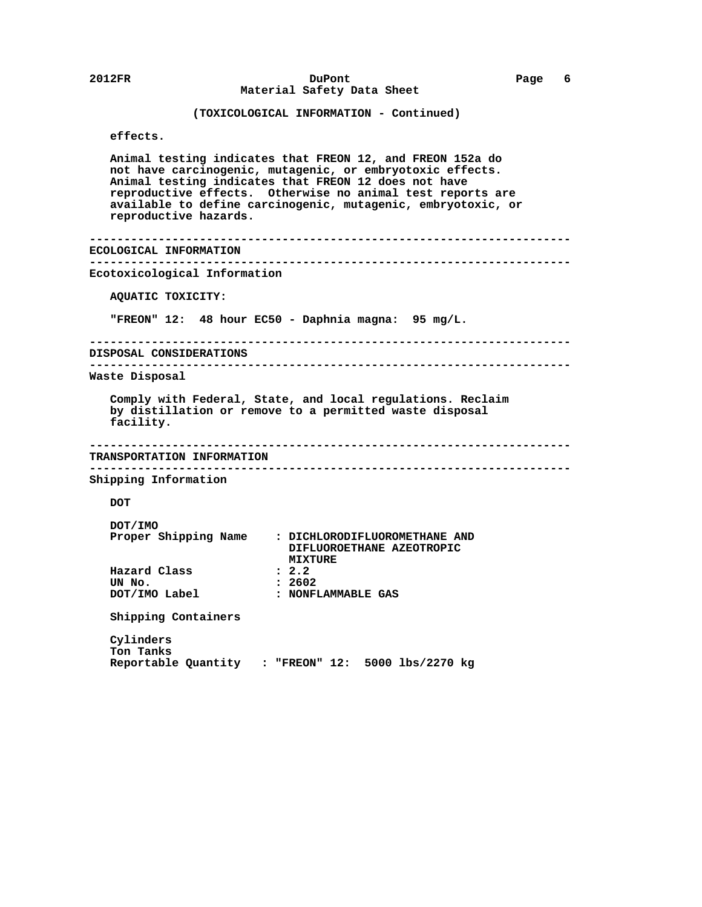```
 2012FR DuPont Page 6
                      Material Safety Data Sheet
               (TOXICOLOGICAL INFORMATION - Continued)
    effects.
   Animal testing indicates that FREON 12, and FREON 152a do
   not have carcinogenic, mutagenic, or embryotoxic effects.
   Animal testing indicates that FREON 12 does not have
   reproductive effects. Otherwise no animal test reports are
    available to define carcinogenic, mutagenic, embryotoxic, or
   reproductive hazards.
 ----------------------------------------------------------------------
 ECOLOGICAL INFORMATION
 ----------------------------------------------------------------------
 Ecotoxicological Information
   AQUATIC TOXICITY:
    "FREON" 12: 48 hour EC50 - Daphnia magna: 95 mg/L.
 ----------------------------------------------------------------------
 DISPOSAL CONSIDERATIONS
 ----------------------------------------------------------------------
 Waste Disposal
    Comply with Federal, State, and local regulations. Reclaim
    by distillation or remove to a permitted waste disposal
    facility.
 ----------------------------------------------------------------------
 TRANSPORTATION INFORMATION
 ----------------------------------------------------------------------
 Shipping Information
   DOT
   DOT/IMO
   Proper Shipping Name : DICHLORODIFLUOROMETHANE AND
                             DIFLUOROETHANE AZEOTROPIC
                         MIXTURE<br>2.2
  Hazard Class
   UN No. : 2602
   DOT/IMO Label : NONFLAMMABLE GAS
    Shipping Containers
    Cylinders
    Ton Tanks
   Reportable Quantity : "FREON" 12: 5000 lbs/2270 kg
```